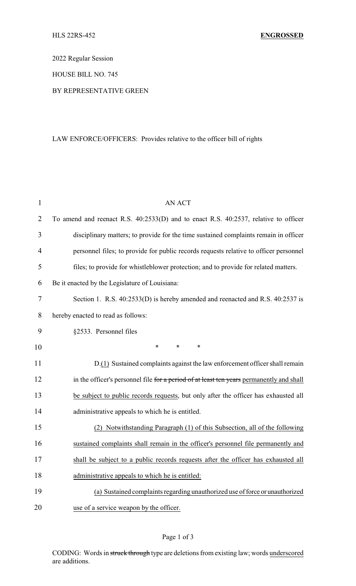2022 Regular Session

HOUSE BILL NO. 745

#### BY REPRESENTATIVE GREEN

# LAW ENFORCE/OFFICERS: Provides relative to the officer bill of rights

| $\mathbf{1}$   | <b>AN ACT</b>                                                                            |
|----------------|------------------------------------------------------------------------------------------|
| $\overline{2}$ | To amend and reenact R.S. 40:2533(D) and to enact R.S. 40:2537, relative to officer      |
| 3              | disciplinary matters; to provide for the time sustained complaints remain in officer     |
| $\overline{4}$ | personnel files; to provide for public records requests relative to officer personnel    |
| 5              | files; to provide for whistleblower protection; and to provide for related matters.      |
| 6              | Be it enacted by the Legislature of Louisiana:                                           |
| 7              | Section 1. R.S. 40:2533(D) is hereby amended and reenacted and R.S. 40:2537 is           |
| 8              | hereby enacted to read as follows:                                                       |
| 9              | §2533. Personnel files                                                                   |
| 10             | $\ast$<br>*<br>*                                                                         |
| 11             | D.(1) Sustained complaints against the law enforcement officer shall remain              |
| 12             | in the officer's personnel file for a period of at least ten years permanently and shall |
| 13             | be subject to public records requests, but only after the officer has exhausted all      |
| 14             | administrative appeals to which he is entitled.                                          |
| 15             | Notwithstanding Paragraph (1) of this Subsection, all of the following                   |
| 16             | sustained complaints shall remain in the officer's personnel file permanently and        |
| 17             | shall be subject to a public records requests after the officer has exhausted all        |
| 18             | administrative appeals to which he is entitled:                                          |
| 19             | (a) Sustained complaints regarding unauthorized use of force or unauthorized             |
| 20             | use of a service weapon by the officer.                                                  |

# Page 1 of 3

CODING: Words in struck through type are deletions from existing law; words underscored are additions.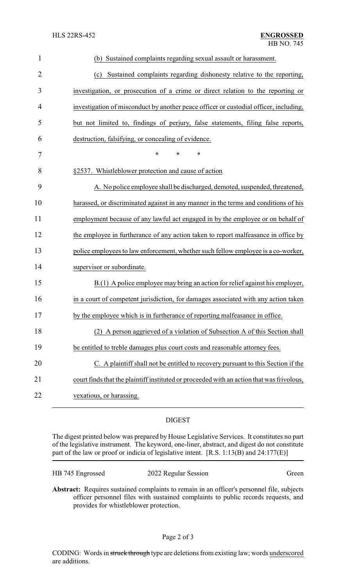| $\mathbf{1}$   | (b) Sustained complaints regarding sexual assault or harassment.                           |
|----------------|--------------------------------------------------------------------------------------------|
| $\overline{2}$ | Sustained complaints regarding dishonesty relative to the reporting,<br>(c)                |
| 3              | investigation, or prosecution of a crime or direct relation to the reporting or            |
| 4              | investigation of misconduct by another peace officer or custodial officer, including,      |
| 5              | but not limited to, findings of perjury, false statements, filing false reports,           |
| 6              | destruction, falsifying, or concealing of evidence.                                        |
| $\tau$         | $\ast$<br>$\ast$<br>$\ast$                                                                 |
| 8              | §2537. Whistleblower protection and cause of action                                        |
| 9              | A. No police employee shall be discharged, demoted, suspended, threatened,                 |
| 10             | harassed, or discriminated against in any manner in the terms and conditions of his        |
| 11             | employment because of any lawful act engaged in by the employee or on behalf of            |
| 12             | the employee in furtherance of any action taken to report malfeasance in office by         |
| 13             | police employees to law enforcement, whether such fellow employee is a co-worker,          |
| 14             | supervisor or subordinate.                                                                 |
| 15             | $B(1)$ A police employee may bring an action for relief against his employer,              |
| 16             | in a court of competent jurisdiction, for damages associated with any action taken         |
| 17             | by the employee which is in furtherance of reporting malfeasance in office.                |
| 18             | A person aggrieved of a violation of Subsection A of this Section shall                    |
| 19             | be entitled to treble damages plus court costs and reasonable attorney fees.               |
| 20             | C. A plaintiff shall not be entitled to recovery pursuant to this Section if the           |
| 21             | court finds that the plaint iff instituted or proceeded with an action that was frivolous, |
| 22             | vexatious, or harassing.                                                                   |

### DIGEST

The digest printed below was prepared by House Legislative Services. It constitutes no part of the legislative instrument. The keyword, one-liner, abstract, and digest do not constitute part of the law or proof or indicia of legislative intent. [R.S. 1:13(B) and 24:177(E)]

| HB 745 Engrossed | 2022 Regular Session | Green |
|------------------|----------------------|-------|
|------------------|----------------------|-------|

**Abstract:** Requires sustained complaints to remain in an officer's personnel file, subjects officer personnel files with sustained complaints to public records requests, and provides for whistleblower protection.